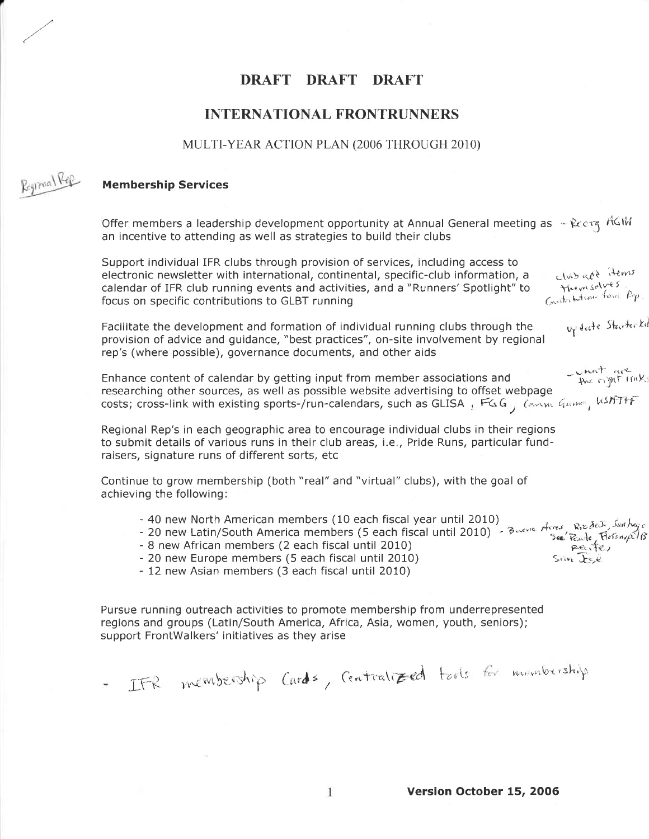# DRAFT DRAFT DRAFT

# INTERNATIONAL FRONTRUNNERS

#### MULTI-YEAR ACTION PLAN (2006 THROUGH 2010)



# Membership Services

Offer members a leadership development opportunity at Annual General meeting as  $\text{Re} \alpha$ an incentive to attending as well as strategies to build their clubs

| Support individual IFR clubs through provision of services, including access to<br>club add Hems<br>electronic newsletter with international, continental, specific-club information, a<br>themselves.<br>calendar of IFR club running events and activities, and a "Runners' Spotlight" to<br>Contribution from Pop.<br>focus on specific contributions to GLBT running |
|--------------------------------------------------------------------------------------------------------------------------------------------------------------------------------------------------------------------------------------------------------------------------------------------------------------------------------------------------------------------------|
| vy decte Starter Kil<br>Facilitate the development and formation of individual running clubs through the<br>provision of advice and guidance, "best practices", on-site involvement by regional<br>rep's (where possible), governance documents, and other aids                                                                                                          |
| - what are<br>Enhance content of calendar by getting input from member associations and<br>researching other sources, as well as possible website advertising to offset webpage<br>costs; cross-link with existing sports-/run-calendars, such as GLISA, FGG, Consume Gaver, WSATHF                                                                                      |
| Regional Rep's in each geographic area to encourage individual clubs in their regions<br>to submit details of various runs in their club areas, i.e., Pride Runs, particular fund-<br>raisers, signature runs of different sorts, etc                                                                                                                                    |
| Continue to grow membership (both "real" and "virtual" clubs), with the goal of<br>achieving the following:                                                                                                                                                                                                                                                              |
| - 40 new North American members (10 each fiscal year until 2010)<br>- 20 new Latin/South America members (5 each fiscal until 2010)<br>- 8 new African members (2 each fiscal until 2010) - Bueve Arres, Reade, Fiscapelis<br>- 20 new Eurone members (5 each fiscal until 2010)<br>$Sam$ $Esé$<br>- 20 new Europe members (5 each fiscal until 2010)                    |

- 20 new Europe members (5 each fiscal until 2010)

- 12 new Asian members (3 each fiscal until 2010)

Pursue running outreach activities to promote membership from underrepresented regions and groups (Latin/South America, Africa, Asia, women, youth, seniors); support FrontWalkers' initiatives as they arise

IFR membership Cards, Centralized tools for membership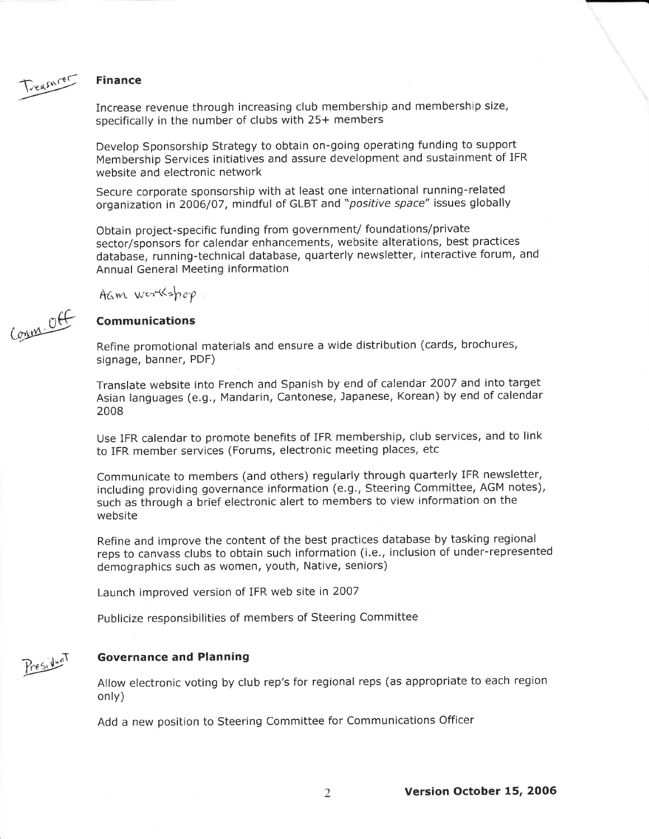

rr&

**Control** 

Increase revenue through increasing club membership and membership size, specifically in the number of clubs with 25+ members

Develop Sponsorship Strategy to obtain on-going operating funding to support Membership Services initiatives and assure development and sustainment of IFR website and electronic network

Secure corporate sponsorship with at least one international running-related organization in 2006/07, mindful of GLBT and "positive space" issues globally

Obtain project-specific funding from government/ foundations/private sector/sponsors for calendar enhancements, website alterations, best practices database, running-technical database, quarterly newsletter, interactive forum, and Annual General Meeting information

AGM workshop

# Communications

Refine promotional materials and ensure a wide distribution (cards, brochures, signage, banner, PDF)

Translate website into French and Spanish by end of calendar 2007 and into target Asian languages (e.g., Mandarin, Cantonese, Japanese, Korean) by end of calendar 2008

Use IFR calendar to promote benefits of IFR membership, club services, and to link to IFR member services (Forums, electronic meeting places, etc

Communicate to members (and others) regularly through quarterly IFR newsletter, including providing governance information (e.9,, Steering Committee, AGM notes), such as through a brief electronic alert to members to view information on the website

Refine and improve the content of the best practices database by tasking regional reps to canvass clubs to obtain such information (i.e., inclusion of under-represented demographics such as women, youth, Native, seniors)

Launch improved version of IFR web site in 2007

Publicize responsibilities of members of Steering Committee



#### Governance and Planning

Allow electronic voting by club rep's for regional reps (as appropriate to each region only)

 $\overline{2}$ 

Add a new position to Steering Committee for Communications Officer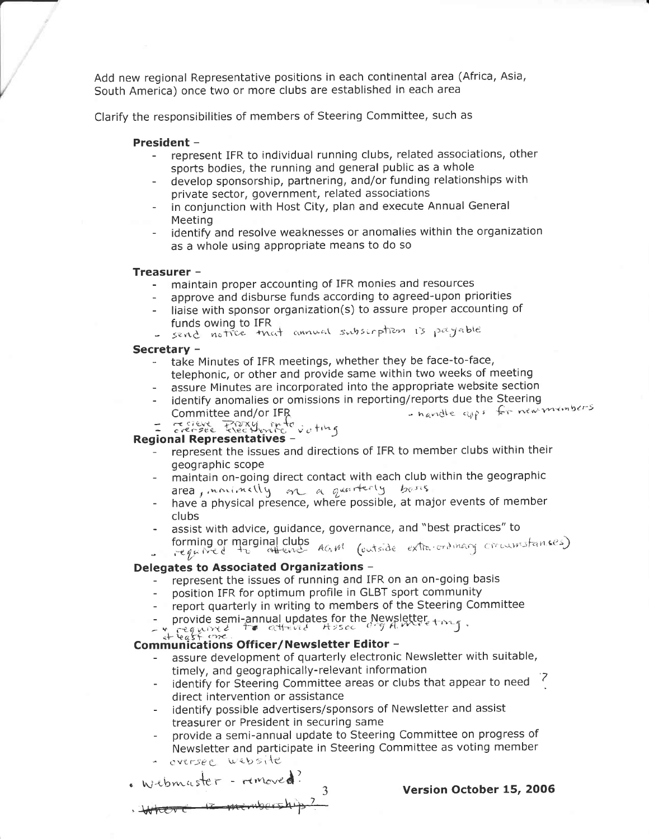Add new regional Representative positions in each continental area (Africa, Asia, South America) once two or more clubs are established in each area

Clarify the responsibilities of members of Steering Committee, such as

#### President -

- represent IFR to individual running clubs, related associations, other sports bodies, the running and general public as a whole
- develop sponsorship, partnering, and/or funding relationships with private sector, government, related associations
- in conjunction with Host City, plan and execute Annual General Meeting
- identify and resolve weaknesses or anomalies within the organization as a whole using appropriate means to do so

#### Treasurer -

- maintain proper accounting of IFR monies and resources
- approve and disburse funds according to agreed-upon priorities
- liaise with sponsor organization(s) to assure proper accounting of funds owing to IFR
- send notice that annual subscription is payable

#### Secretary -

- take Minutes of IFR meetings, whether they be face-to-face, telephonic, or other and provide same within two weeks of meeting
- assure Minutes are incorporated into the appropriate website section
- identify anomalies or omissions in reporting/reports due the Steering the Steering<br>si: for new mambers Committee and/or IFR - navidle cups for new
- $f = \frac{1}{2} \int_0^{\infty} \frac{1}{2} \, e^{i \omega t} \, e^{-i \omega t} \, e^{-i \omega t} \, e^{-i \omega t} \, e^{-i \omega t} \, e^{-i \omega t} \, e^{-i \omega t} \, e^{-i \omega t} \, e^{-i \omega t} \, e^{-i \omega t} \, e^{-i \omega t} \, e^{-i \omega t} \, e^{-i \omega t} \, e^{-i \omega t} \, e^{-i \omega t} \, e^{-i \omega t} \, e^{-i \omega t} \, e^{-i \omega t} \, e^{-i \omega t} \, e^{-i \omega t} \, e^{-i \omega t} \, e^{-i \$

## Regional Representatives -

- represent the issues and directions of IFR to member clubs within their geographic scope
- maintain on-going direct contact with each club within the geographic area, inninelly on a quarterly base
- have a physical presence, where possible, at major events of member clubs
- assist with advice, guidance, governance, and "best practices" to
- forming or marginal clubs AGM (outside extra-ordinary circumstances)

# Delegates to Associated Organizations -

- represent the issues of running and IFR on an on-going basis
- position IFR for optimum profile in GLBT sport community
- report quarterly in writing to members of the Steering Committee
- provide semi-annual updates for the Newsletter,  $_{\rm t}$
- v required to attend Assoc argument

# $\begin{array}{ll}\n \begin{array}{ccc}\n \ast & \text{reg}(X) \times \mathcal{E} & \text{if } \text{reg}(X) \neq \text{G.} \\
\ast & \text{G.} \\
\text{Communications } & \text{Officeer/Newsletter Editor} \end{array}\n \end{array}$

- assure development of quarterly electronic Newsletter with suitable, timely, and geographically-relevant information
- identify for Steering Committee areas or clubs that appear to need '7 direct intervention or assistance
- identify possible advertisers/sponsors of Newsletter and assist treasurer or President in securing same

3

- provide a semi-annual update to Steering Committee on progress of Newsletter and participate in Steering Committee as voting member
- ' cytrsee website

Webmaster - removed?

Httere is minub

Version October 15, 2006